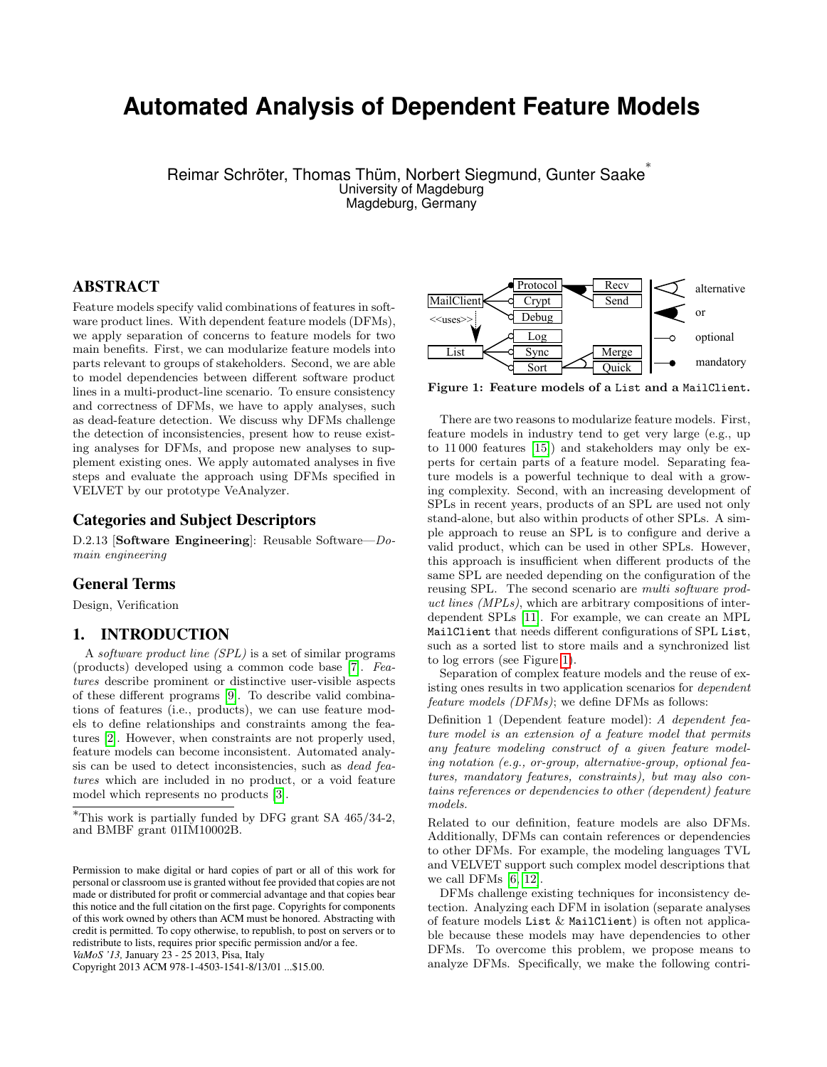# **Automated Analysis of Dependent Feature Models**

Reimar Schröter, Thomas Thüm, Norbert Siegmund, Gunter Saake<sup>\*</sup> University of Magdeburg Magdeburg, Germany

# ABSTRACT

Feature models specify valid combinations of features in software product lines. With dependent feature models (DFMs), we apply separation of concerns to feature models for two main benefits. First, we can modularize feature models into parts relevant to groups of stakeholders. Second, we are able to model dependencies between different software product lines in a multi-product-line scenario. To ensure consistency and correctness of DFMs, we have to apply analyses, such as dead-feature detection. We discuss why DFMs challenge the detection of inconsistencies, present how to reuse existing analyses for DFMs, and propose new analyses to supplement existing ones. We apply automated analyses in five steps and evaluate the approach using DFMs specified in VELVET by our prototype VeAnalyzer.

## Categories and Subject Descriptors

D.2.13 [Software Engineering]: Reusable Software—Domain engineering

#### General Terms

Design, Verification

## 1. INTRODUCTION

A software product line (SPL) is a set of similar programs (products) developed using a common code base [\[7\]](#page-4-0). Features describe prominent or distinctive user-visible aspects of these different programs [\[9\]](#page-4-1). To describe valid combinations of features (i.e., products), we can use feature models to define relationships and constraints among the features [\[2\]](#page-4-2). However, when constraints are not properly used, feature models can become inconsistent. Automated analysis can be used to detect inconsistencies, such as dead features which are included in no product, or a void feature model which represents no products [\[3\]](#page-4-3).

Copyright 2013 ACM 978-1-4503-1541-8/13/01 ...\$15.00.



<span id="page-0-0"></span>Figure 1: Feature models of a List and a MailClient.

There are two reasons to modularize feature models. First, feature models in industry tend to get very large (e.g., up to 11 000 features [\[15\]](#page-4-4)) and stakeholders may only be experts for certain parts of a feature model. Separating feature models is a powerful technique to deal with a growing complexity. Second, with an increasing development of SPLs in recent years, products of an SPL are used not only stand-alone, but also within products of other SPLs. A simple approach to reuse an SPL is to configure and derive a valid product, which can be used in other SPLs. However, this approach is insufficient when different products of the same SPL are needed depending on the configuration of the reusing SPL. The second scenario are multi software product lines (MPLs), which are arbitrary compositions of interdependent SPLs [\[11\]](#page-4-5). For example, we can create an MPL MailClient that needs different configurations of SPL List, such as a sorted list to store mails and a synchronized list to log errors (see Figure [1\)](#page-0-0).

Separation of complex feature models and the reuse of existing ones results in two application scenarios for dependent feature models (DFMs); we define DFMs as follows:

Definition 1 (Dependent feature model): A dependent feature model is an extension of a feature model that permits any feature modeling construct of a given feature modeling notation (e.g., or-group, alternative-group, optional features, mandatory features, constraints), but may also contains references or dependencies to other (dependent) feature models.

Related to our definition, feature models are also DFMs. Additionally, DFMs can contain references or dependencies to other DFMs. For example, the modeling languages TVL and VELVET support such complex model descriptions that we call DFMs [\[6,](#page-4-6) [12\]](#page-4-7).

DFMs challenge existing techniques for inconsistency detection. Analyzing each DFM in isolation (separate analyses of feature models List & MailClient) is often not applicable because these models may have dependencies to other DFMs. To overcome this problem, we propose means to analyze DFMs. Specifically, we make the following contri-

<sup>∗</sup>This work is partially funded by DFG grant SA 465/34-2, and BMBF grant 01IM10002B.

Permission to make digital or hard copies of part or all of this work for personal or classroom use is granted without fee provided that copies are not made or distributed for profit or commercial advantage and that copies bear this notice and the full citation on the first page. Copyrights for components of this work owned by others than ACM must be honored. Abstracting with credit is permitted. To copy otherwise, to republish, to post on servers or to redistribute to lists, requires prior specific permission and/or a fee. *VaMoS '13,* January 23 - 25 2013, Pisa, Italy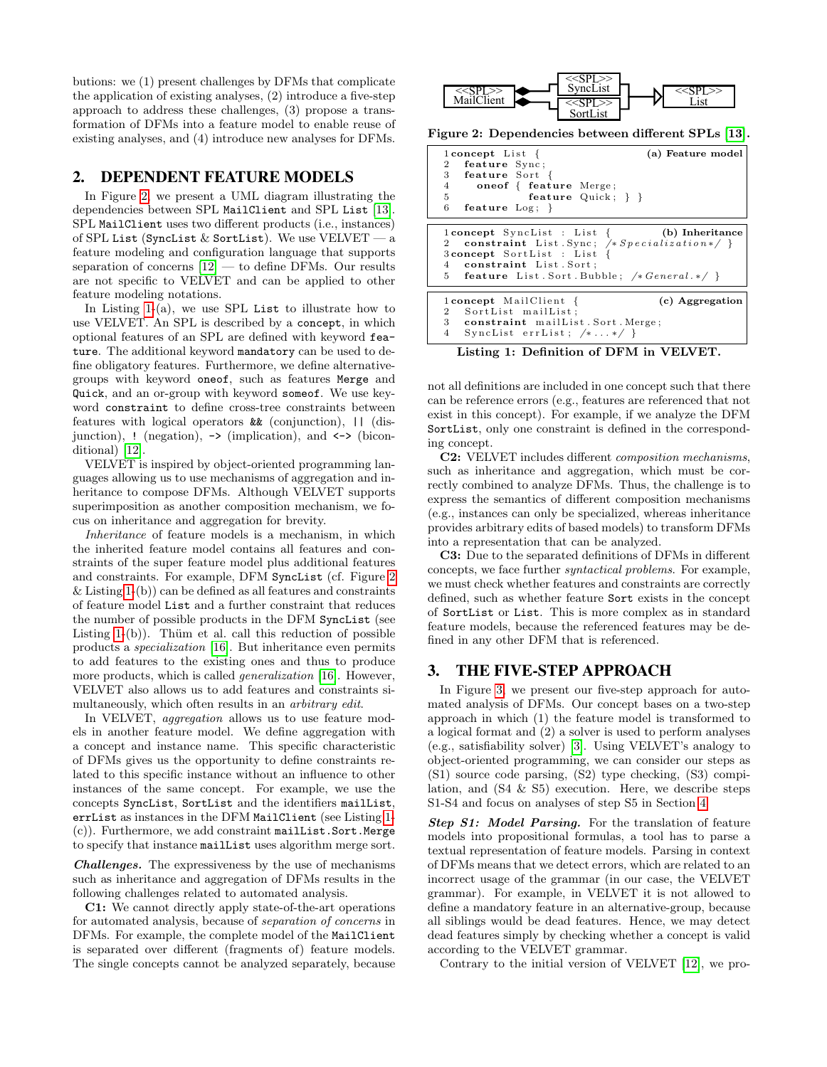butions: we (1) present challenges by DFMs that complicate the application of existing analyses, (2) introduce a five-step approach to address these challenges, (3) propose a transformation of DFMs into a feature model to enable reuse of existing analyses, and (4) introduce new analyses for DFMs.

#### 2. DEPENDENT FEATURE MODELS

In Figure [2,](#page-1-0) we present a UML diagram illustrating the dependencies between SPL MailClient and SPL List [\[13\]](#page-4-8). SPL MailClient uses two different products (i.e., instances) of SPL List (SyncList  $\&$  SortList). We use VELVET — a feature modeling and configuration language that supports separation of concerns  $[12]$  — to define DFMs. Our results are not specific to VELVET and can be applied to other feature modeling notations.

In Listing  $1-(a)$ , we use SPL List to illustrate how to use VELVET. An SPL is described by a concept, in which optional features of an SPL are defined with keyword feature. The additional keyword mandatory can be used to define obligatory features. Furthermore, we define alternativegroups with keyword oneof, such as features Merge and Quick, and an or-group with keyword someof. We use keyword constraint to define cross-tree constraints between features with logical operators && (conjunction), || (disjunction),  $\vdots$  (negation),  $\rightarrow$  (implication), and  $\leftarrow$  (biconditional) [\[12\]](#page-4-7).

VELVET is inspired by object-oriented programming languages allowing us to use mechanisms of aggregation and inheritance to compose DFMs. Although VELVET supports superimposition as another composition mechanism, we focus on inheritance and aggregation for brevity.

Inheritance of feature models is a mechanism, in which the inherited feature model contains all features and constraints of the super feature model plus additional features and constraints. For example, DFM SyncList (cf. Figure [2](#page-1-0)  $&$  Listing [1-](#page-1-1)(b)) can be defined as all features and constraints of feature model List and a further constraint that reduces the number of possible products in the DFM SyncList (see Listing  $1-(b)$ ). Thum et al. call this reduction of possible products a specialization [\[16\]](#page-4-9). But inheritance even permits to add features to the existing ones and thus to produce more products, which is called generalization [\[16\]](#page-4-9). However, VELVET also allows us to add features and constraints simultaneously, which often results in an *arbitrary edit*.

In VELVET, *aggregation* allows us to use feature models in another feature model. We define aggregation with a concept and instance name. This specific characteristic of DFMs gives us the opportunity to define constraints related to this specific instance without an influence to other instances of the same concept. For example, we use the concepts SyncList, SortList and the identifiers mailList, errList as instances in the DFM MailClient (see Listing [1-](#page-1-1) (c)). Furthermore, we add constraint mailList.Sort.Merge to specify that instance mailList uses algorithm merge sort.

Challenges. The expressiveness by the use of mechanisms such as inheritance and aggregation of DFMs results in the following challenges related to automated analysis.

C1: We cannot directly apply state-of-the-art operations for automated analysis, because of separation of concerns in DFMs. For example, the complete model of the MailClient is separated over different (fragments of) feature models. The single concepts cannot be analyzed separately, because



<span id="page-1-0"></span>Figure 2: Dependencies between different SPLs [\[13\]](#page-4-8).

|                                                                                                               | -- 1--1-          |  |  |  |  |  |
|---------------------------------------------------------------------------------------------------------------|-------------------|--|--|--|--|--|
| $1$ concept List $\{$                                                                                         | (a) Feature model |  |  |  |  |  |
| feature Sync;<br>$\mathbf{2}$                                                                                 |                   |  |  |  |  |  |
| 3<br>feature Sort {                                                                                           |                   |  |  |  |  |  |
| one of $\{$ feature Merge;<br>4                                                                               |                   |  |  |  |  |  |
| 5<br>feature $Quick; \}$                                                                                      |                   |  |  |  |  |  |
| 6<br>feature $Log; \}$                                                                                        |                   |  |  |  |  |  |
|                                                                                                               |                   |  |  |  |  |  |
| 1 concept SyncList : List { (b) Inheritance<br>constraint List. Sync; $/* Specialization*/$ }<br>$\mathbf{2}$ |                   |  |  |  |  |  |
| 3 concept SortList : List {                                                                                   |                   |  |  |  |  |  |
| 4 constraint List. Sort;                                                                                      |                   |  |  |  |  |  |
| 5 feature List. Sort. Bubble; /* General. */ }                                                                |                   |  |  |  |  |  |
| 1 <b>concept</b> MailClient {                                                                                 | (c) Aggregation   |  |  |  |  |  |
| 2 SortList mailList;                                                                                          |                   |  |  |  |  |  |
| 3 constraint mailList. Sort. Merge;                                                                           |                   |  |  |  |  |  |
| SyncList errList; $/* \ldots */$<br>4                                                                         |                   |  |  |  |  |  |
| Listing 1: Definition of DFM in VELVET.                                                                       |                   |  |  |  |  |  |

<span id="page-1-1"></span>

not all definitions are included in one concept such that there can be reference errors (e.g., features are referenced that not exist in this concept). For example, if we analyze the DFM SortList, only one constraint is defined in the corresponding concept.

C2: VELVET includes different composition mechanisms, such as inheritance and aggregation, which must be correctly combined to analyze DFMs. Thus, the challenge is to express the semantics of different composition mechanisms (e.g., instances can only be specialized, whereas inheritance provides arbitrary edits of based models) to transform DFMs into a representation that can be analyzed.

C3: Due to the separated definitions of DFMs in different concepts, we face further syntactical problems. For example, we must check whether features and constraints are correctly defined, such as whether feature Sort exists in the concept of SortList or List. This is more complex as in standard feature models, because the referenced features may be defined in any other DFM that is referenced.

#### 3. THE FIVE-STEP APPROACH

In Figure [3,](#page-2-0) we present our five-step approach for automated analysis of DFMs. Our concept bases on a two-step approach in which (1) the feature model is transformed to a logical format and (2) a solver is used to perform analyses (e.g., satisfiability solver) [\[3\]](#page-4-3). Using VELVET's analogy to object-oriented programming, we can consider our steps as (S1) source code parsing, (S2) type checking, (S3) compilation, and  $(S4 \& S5)$  execution. Here, we describe steps S1-S4 and focus on analyses of step S5 in Section [4.](#page-2-1)

Step S1: Model Parsing. For the translation of feature models into propositional formulas, a tool has to parse a textual representation of feature models. Parsing in context of DFMs means that we detect errors, which are related to an incorrect usage of the grammar (in our case, the VELVET grammar). For example, in VELVET it is not allowed to define a mandatory feature in an alternative-group, because all siblings would be dead features. Hence, we may detect dead features simply by checking whether a concept is valid according to the VELVET grammar.

Contrary to the initial version of VELVET [\[12\]](#page-4-7), we pro-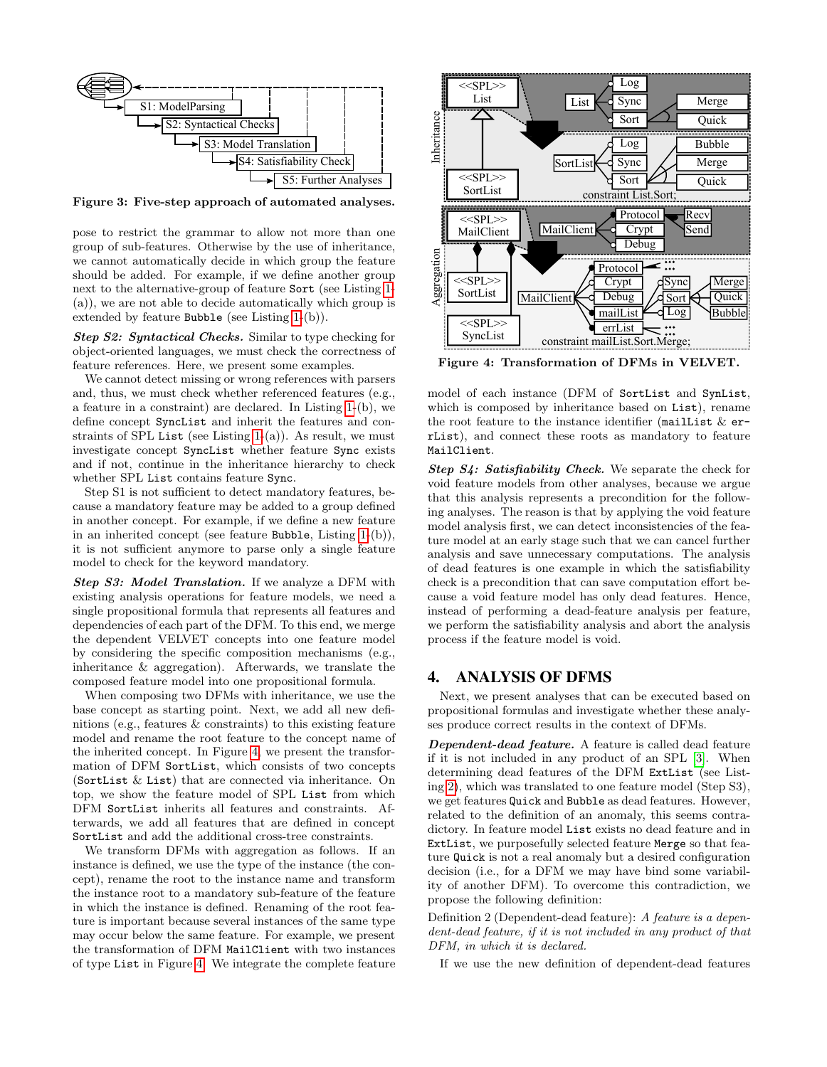

<span id="page-2-0"></span>Figure 3: Five-step approach of automated analyses.

pose to restrict the grammar to allow not more than one group of sub-features. Otherwise by the use of inheritance, we cannot automatically decide in which group the feature should be added. For example, if we define another group next to the alternative-group of feature Sort (see Listing [1-](#page-1-1) (a)), we are not able to decide automatically which group is extended by feature Bubble (see Listing [1-](#page-1-1)(b)).

Step S2: Syntactical Checks. Similar to type checking for object-oriented languages, we must check the correctness of feature references. Here, we present some examples.

We cannot detect missing or wrong references with parsers and, thus, we must check whether referenced features (e.g., a feature in a constraint) are declared. In Listing [1-](#page-1-1)(b), we define concept SyncList and inherit the features and constraints of SPL List (see Listing  $1-(a)$ ). As result, we must investigate concept SyncList whether feature Sync exists and if not, continue in the inheritance hierarchy to check whether SPL List contains feature Sync.

Step S1 is not sufficient to detect mandatory features, because a mandatory feature may be added to a group defined in another concept. For example, if we define a new feature in an inherited concept (see feature Bubble, Listing [1-](#page-1-1)(b)), it is not sufficient anymore to parse only a single feature model to check for the keyword mandatory.

Step S3: Model Translation. If we analyze a DFM with existing analysis operations for feature models, we need a single propositional formula that represents all features and dependencies of each part of the DFM. To this end, we merge the dependent VELVET concepts into one feature model by considering the specific composition mechanisms (e.g., inheritance & aggregation). Afterwards, we translate the composed feature model into one propositional formula.

When composing two DFMs with inheritance, we use the base concept as starting point. Next, we add all new definitions (e.g., features & constraints) to this existing feature model and rename the root feature to the concept name of the inherited concept. In Figure [4,](#page-2-2) we present the transformation of DFM SortList, which consists of two concepts (SortList & List) that are connected via inheritance. On top, we show the feature model of SPL List from which DFM SortList inherits all features and constraints. Afterwards, we add all features that are defined in concept SortList and add the additional cross-tree constraints.

We transform DFMs with aggregation as follows. If an instance is defined, we use the type of the instance (the concept), rename the root to the instance name and transform the instance root to a mandatory sub-feature of the feature in which the instance is defined. Renaming of the root feature is important because several instances of the same type may occur below the same feature. For example, we present the transformation of DFM MailClient with two instances of type List in Figure [4.](#page-2-2) We integrate the complete feature



<span id="page-2-2"></span>Figure 4: Transformation of DFMs in VELVET.

model of each instance (DFM of SortList and SynList, which is composed by inheritance based on List), rename the root feature to the instance identifier (mailList  $\&$  errList), and connect these roots as mandatory to feature MailClient.

Step S4: Satisfiability Check. We separate the check for void feature models from other analyses, because we argue that this analysis represents a precondition for the following analyses. The reason is that by applying the void feature model analysis first, we can detect inconsistencies of the feature model at an early stage such that we can cancel further analysis and save unnecessary computations. The analysis of dead features is one example in which the satisfiability check is a precondition that can save computation effort because a void feature model has only dead features. Hence, instead of performing a dead-feature analysis per feature, we perform the satisfiability analysis and abort the analysis process if the feature model is void.

## <span id="page-2-1"></span>4. ANALYSIS OF DFMS

Next, we present analyses that can be executed based on propositional formulas and investigate whether these analyses produce correct results in the context of DFMs.

Dependent-dead feature. A feature is called dead feature if it is not included in any product of an SPL [\[3\]](#page-4-3). When determining dead features of the DFM ExtList (see Listing [2\)](#page-3-0), which was translated to one feature model (Step S3), we get features Quick and Bubble as dead features. However, related to the definition of an anomaly, this seems contradictory. In feature model List exists no dead feature and in ExtList, we purposefully selected feature Merge so that feature Quick is not a real anomaly but a desired configuration decision (i.e., for a DFM we may have bind some variability of another DFM). To overcome this contradiction, we propose the following definition:

Definition 2 (Dependent-dead feature): A feature is a dependent-dead feature, if it is not included in any product of that DFM, in which it is declared.

If we use the new definition of dependent-dead features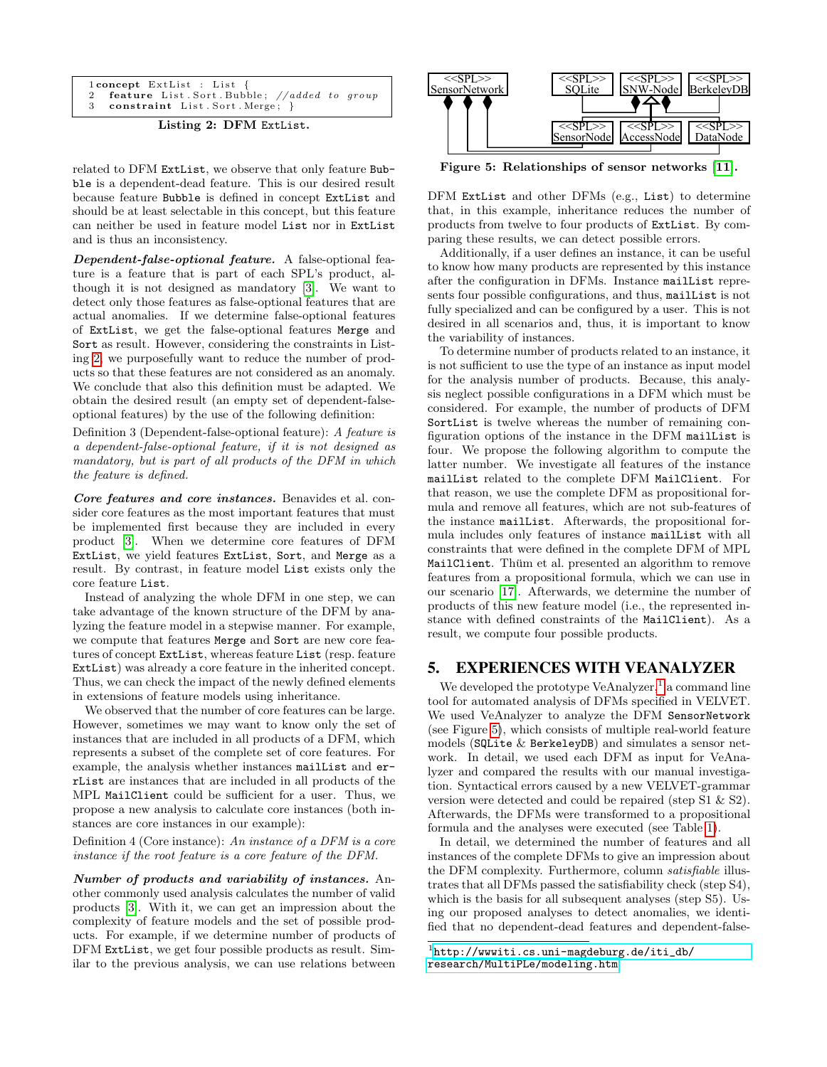<span id="page-3-0"></span>

| 1 concept ExtList : List $\{$     |  |  |                                                |  |  |
|-----------------------------------|--|--|------------------------------------------------|--|--|
|                                   |  |  | 2 feature List. Sort. Bubble; //added to group |  |  |
| 3 constraint List. Sort. Merge; } |  |  |                                                |  |  |

Listing 2: DFM ExtList.

related to DFM ExtList, we observe that only feature Bubble is a dependent-dead feature. This is our desired result because feature Bubble is defined in concept ExtList and should be at least selectable in this concept, but this feature can neither be used in feature model List nor in ExtList and is thus an inconsistency.

Dependent-false-optional feature. A false-optional feature is a feature that is part of each SPL's product, although it is not designed as mandatory [\[3\]](#page-4-3). We want to detect only those features as false-optional features that are actual anomalies. If we determine false-optional features of ExtList, we get the false-optional features Merge and Sort as result. However, considering the constraints in Listing [2,](#page-3-0) we purposefully want to reduce the number of products so that these features are not considered as an anomaly. We conclude that also this definition must be adapted. We obtain the desired result (an empty set of dependent-falseoptional features) by the use of the following definition:

Definition 3 (Dependent-false-optional feature): A feature is a dependent-false-optional feature, if it is not designed as mandatory, but is part of all products of the DFM in which the feature is defined.

Core features and core instances. Benavides et al. consider core features as the most important features that must be implemented first because they are included in every product [\[3\]](#page-4-3). When we determine core features of DFM ExtList, we yield features ExtList, Sort, and Merge as a result. By contrast, in feature model List exists only the core feature List.

Instead of analyzing the whole DFM in one step, we can take advantage of the known structure of the DFM by analyzing the feature model in a stepwise manner. For example, we compute that features Merge and Sort are new core features of concept ExtList, whereas feature List (resp. feature ExtList) was already a core feature in the inherited concept. Thus, we can check the impact of the newly defined elements in extensions of feature models using inheritance.

We observed that the number of core features can be large. However, sometimes we may want to know only the set of instances that are included in all products of a DFM, which represents a subset of the complete set of core features. For example, the analysis whether instances mailList and errList are instances that are included in all products of the MPL MailClient could be sufficient for a user. Thus, we propose a new analysis to calculate core instances (both instances are core instances in our example):

Definition 4 (Core instance): An instance of a DFM is a core instance if the root feature is a core feature of the DFM.

Number of products and variability of instances. Another commonly used analysis calculates the number of valid products [\[3\]](#page-4-3). With it, we can get an impression about the complexity of feature models and the set of possible products. For example, if we determine number of products of DFM ExtList, we get four possible products as result. Similar to the previous analysis, we can use relations between



<span id="page-3-2"></span>Figure 5: Relationships of sensor networks [\[11\]](#page-4-5).

DFM ExtList and other DFMs (e.g., List) to determine that, in this example, inheritance reduces the number of products from twelve to four products of ExtList. By comparing these results, we can detect possible errors.

Additionally, if a user defines an instance, it can be useful to know how many products are represented by this instance after the configuration in DFMs. Instance mailList represents four possible configurations, and thus, mailList is not fully specialized and can be configured by a user. This is not desired in all scenarios and, thus, it is important to know the variability of instances.

To determine number of products related to an instance, it is not sufficient to use the type of an instance as input model for the analysis number of products. Because, this analysis neglect possible configurations in a DFM which must be considered. For example, the number of products of DFM SortList is twelve whereas the number of remaining configuration options of the instance in the DFM mailList is four. We propose the following algorithm to compute the latter number. We investigate all features of the instance mailList related to the complete DFM MailClient. For that reason, we use the complete DFM as propositional formula and remove all features, which are not sub-features of the instance mailList. Afterwards, the propositional formula includes only features of instance mailList with all constraints that were defined in the complete DFM of MPL MailClient. Thüm et al. presented an algorithm to remove features from a propositional formula, which we can use in our scenario [\[17\]](#page-4-10). Afterwards, we determine the number of products of this new feature model (i.e., the represented instance with defined constraints of the MailClient). As a result, we compute four possible products.

#### 5. EXPERIENCES WITH VEANALYZER

We developed the prototype VeAnalyzer,<sup>[1](#page-3-1)</sup> a command line tool for automated analysis of DFMs specified in VELVET. We used VeAnalyzer to analyze the DFM SensorNetwork (see Figure [5\)](#page-3-2), which consists of multiple real-world feature models (SQLite & BerkeleyDB) and simulates a sensor network. In detail, we used each DFM as input for VeAnalyzer and compared the results with our manual investigation. Syntactical errors caused by a new VELVET-grammar version were detected and could be repaired (step S1 & S2). Afterwards, the DFMs were transformed to a propositional formula and the analyses were executed (see Table [1\)](#page-4-11).

In detail, we determined the number of features and all instances of the complete DFMs to give an impression about the DFM complexity. Furthermore, column satisfiable illustrates that all DFMs passed the satisfiability check (step S4), which is the basis for all subsequent analyses (step S5). Using our proposed analyses to detect anomalies, we identified that no dependent-dead features and dependent-false-

<span id="page-3-1"></span><sup>1</sup> [http://wwwiti.cs.uni-magdeburg.de/iti\\_db/](http://wwwiti.cs.uni-magdeburg.de/iti_db/research/MultiPLe/modeling.htm) [research/MultiPLe/modeling.htm](http://wwwiti.cs.uni-magdeburg.de/iti_db/research/MultiPLe/modeling.htm)